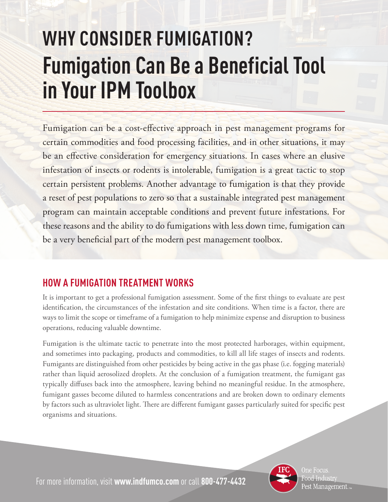## **WHY CONSIDER FUMIGATION? Fumigation Can Be a Beneficial Tool in Your IPM Toolbox**

Fumigation can be a cost-effective approach in pest management programs for certain commodities and food processing facilities, and in other situations, it may be an effective consideration for emergency situations. In cases where an elusive infestation of insects or rodents is intolerable, fumigation is a great tactic to stop certain persistent problems. Another advantage to fumigation is that they provide a reset of pest populations to zero so that a sustainable integrated pest management program can maintain acceptable conditions and prevent future infestations. For these reasons and the ability to do fumigations with less down time, fumigation can be a very beneficial part of the modern pest management toolbox.

## **HOW A FUMIGATION TREATMENT WORKS**

It is important to get a professional fumigation assessment. Some of the first things to evaluate are pest identification, the circumstances of the infestation and site conditions. When time is a factor, there are ways to limit the scope or timeframe of a fumigation to help minimize expense and disruption to business operations, reducing valuable downtime.

Fumigation is the ultimate tactic to penetrate into the most protected harborages, within equipment, and sometimes into packaging, products and commodities, to kill all life stages of insects and rodents. Fumigants are distinguished from other pesticides by being active in the gas phase (i.e. fogging materials) rather than liquid aerosolized droplets. At the conclusion of a fumigation treatment, the fumigant gas typically diffuses back into the atmosphere, leaving behind no meaningful residue. In the atmosphere, fumigant gasses become diluted to harmless concentrations and are broken down to ordinary elements by factors such as ultraviolet light. There are different fumigant gasses particularly suited for specific pest organisms and situations.



One Focus. Food Industry Pest Management.

For more information, visit **www.indfumco.com** or call **800-477-4432**